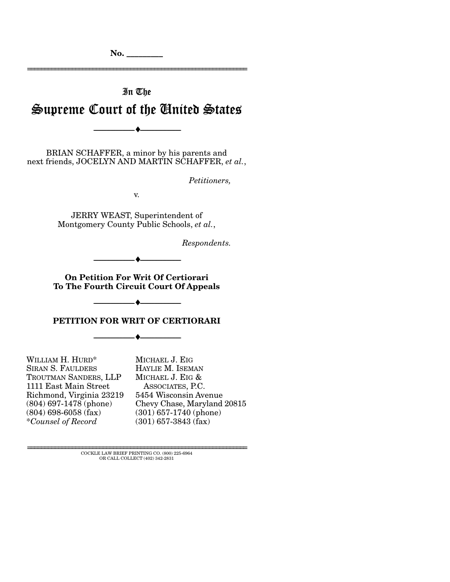**No. \_\_\_\_\_\_\_\_\_** 

# In The Supreme Court of the United States

================================================================

BRIAN SCHAFFER, a minor by his parents and next friends, JOCELYN AND MARTIN SCHAFFER, *et al.*,

--------------------------------- ♦ ---------------------------------

*Petitioners,* 

v.

JERRY WEAST, Superintendent of Montgomery County Public Schools, *et al.*,

*Respondents.* 

**On Petition For Writ Of Certiorari To The Fourth Circuit Court Of Appeals**

--------------------------------- ♦ ---------------------------------

**PETITION FOR WRIT OF CERTIORARI**

--------------------------------- ♦ ---------------------------------

--------------------------------- ♦ ---------------------------------

WILLIAM H. HURD\* SIRAN S. FAULDERS TROUTMAN SANDERS, LLP 1111 East Main Street Richmond, Virginia 23219 (804) 697-1478 (phone) (804) 698-6058 (fax) \**Counsel of Record*

MICHAEL J. EIG HAYLIE M. ISEMAN MICHAEL J. EIG & ASSOCIATES, P.C. 5454 Wisconsin Avenue Chevy Chase, Maryland 20815 (301) 657-1740 (phone) (301) 657-3843 (fax)

================================================================ COCKLE LAW BRIEF PRINTING CO. (800) 225-6964 OR CALL COLLECT (402) 342-2831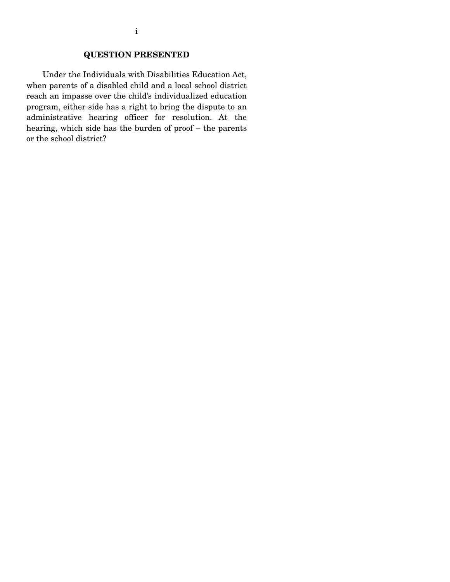## **QUESTION PRESENTED**

 Under the Individuals with Disabilities Education Act, when parents of a disabled child and a local school district reach an impasse over the child's individualized education program, either side has a right to bring the dispute to an administrative hearing officer for resolution. At the hearing, which side has the burden of proof – the parents or the school district?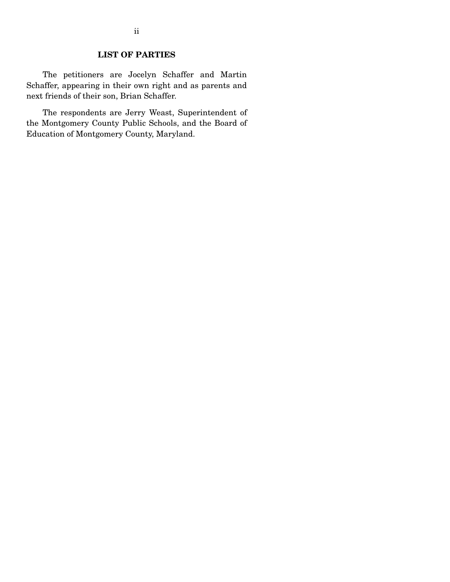## **LIST OF PARTIES**

 The petitioners are Jocelyn Schaffer and Martin Schaffer, appearing in their own right and as parents and next friends of their son, Brian Schaffer.

 The respondents are Jerry Weast, Superintendent of the Montgomery County Public Schools, and the Board of Education of Montgomery County, Maryland.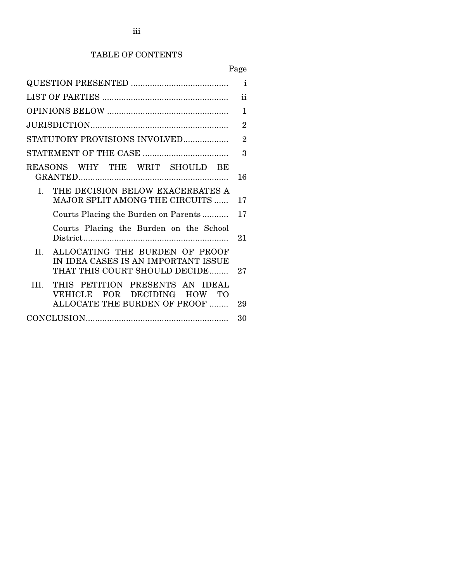# TABLE OF CONTENTS

# Page

| $\ddot{\mathbf{i}}$                                                                                           |    |  |  |
|---------------------------------------------------------------------------------------------------------------|----|--|--|
|                                                                                                               |    |  |  |
|                                                                                                               |    |  |  |
| STATUTORY PROVISIONS INVOLVED                                                                                 |    |  |  |
| 3                                                                                                             |    |  |  |
| REASONS WHY THE WRIT SHOULD BE                                                                                | 16 |  |  |
| THE DECISION BELOW EXACERBATES A<br>$\mathbf{I}$<br><b>MAJOR SPLIT AMONG THE CIRCUITS </b>                    | 17 |  |  |
| 17<br>Courts Placing the Burden on Parents                                                                    |    |  |  |
| Courts Placing the Burden on the School                                                                       |    |  |  |
| ALLOCATING THE BURDEN OF PROOF<br>II.<br>IN IDEA CASES IS AN IMPORTANT ISSUE<br>THAT THIS COURT SHOULD DECIDE | 27 |  |  |
| THIS PETITION PRESENTS AN IDEAL<br>III.<br>VEHICLE FOR DECIDING HOW TO<br>ALLOCATE THE BURDEN OF PROOF        | 29 |  |  |
|                                                                                                               | 30 |  |  |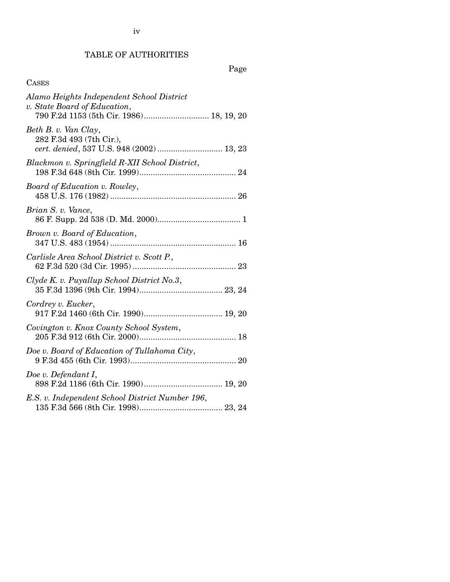iv

# TABLE OF AUTHORITIES

### CASES

Page

| Alamo Heights Independent School District<br>v. State Board of Education,<br>790 F.2d 1153 (5th Cir. 1986) 18, 19, 20 |
|-----------------------------------------------------------------------------------------------------------------------|
| Beth B. v. Van Clay,<br>282 F.3d 493 (7th Cir.),<br>cert. denied, 537 U.S. 948 (2002)  13, 23                         |
| Blackmon v. Springfield R-XII School District,                                                                        |
| Board of Education v. Rowley,                                                                                         |
| Brian S. v. Vance,                                                                                                    |
| Brown v. Board of Education,                                                                                          |
| Carlisle Area School District v. Scott P.,                                                                            |
| Clyde K. v. Puyallup School District No.3,                                                                            |
| Cordrey v. Eucker,                                                                                                    |
| Covington v. Knox County School System,                                                                               |
| Doe v. Board of Education of Tullahoma City,                                                                          |
| Doe v. Defendant I,                                                                                                   |
| E.S. v. Independent School District Number 196,                                                                       |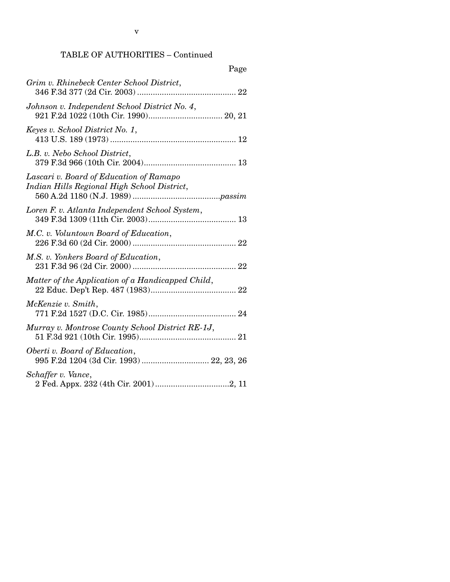# TABLE OF AUTHORITIES – Continued

| Page                                                                                   |
|----------------------------------------------------------------------------------------|
| Grim v. Rhinebeck Center School District,                                              |
| Johnson v. Independent School District No. 4,                                          |
| Keyes v. School District No. 1,                                                        |
| L.B. v. Nebo School District,                                                          |
| Lascari v. Board of Education of Ramapo<br>Indian Hills Regional High School District, |
| Loren F. v. Atlanta Independent School System,                                         |
| M.C. v. Voluntown Board of Education,                                                  |
| M.S. v. Yonkers Board of Education,                                                    |
| Matter of the Application of a Handicapped Child,                                      |
| McKenzie v. Smith,                                                                     |
| Murray v. Montrose County School District RE-1J,                                       |
| Oberti v. Board of Education,<br>995 F.2d 1204 (3d Cir. 1993)  22, 23, 26              |
| Schaffer v. Vance,                                                                     |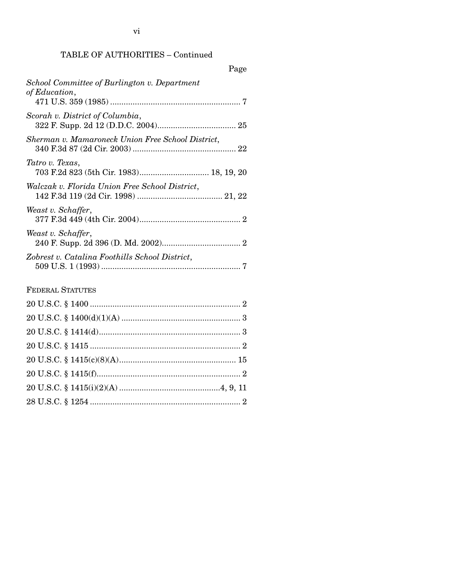### TABLE OF AUTHORITIES – Continued

| Page                                                          |
|---------------------------------------------------------------|
| School Committee of Burlington v. Department<br>of Education, |
| Scorah v. District of Columbia,                               |
| Sherman v. Mamaroneck Union Free School District,             |
| Tatro v. Texas,                                               |
| Walczak v. Florida Union Free School District,                |
| Weast v. Schaffer,                                            |
| Weast v. Schaffer,                                            |
| Zobrest v. Catalina Foothills School District,                |
| <b>FEDERAL STATUTES</b>                                       |

# 20 U.S.C. § 1400 ................................................................... 2 20 U.S.C. § 1400(d)(1)(A) ..................................................... 3 20 U.S.C. § 1414(d)............................................................... 3 20 U.S.C. § 1415 ................................................................... 2 20 U.S.C. § 1415(c)(8)(A).................................................... 15 20 U.S.C. § 1415(f)................................................................ 2 20 U.S.C. § 1415(i)(2)(A) .............................................4, 9, 11 28 U.S.C. § 1254 ................................................................... 2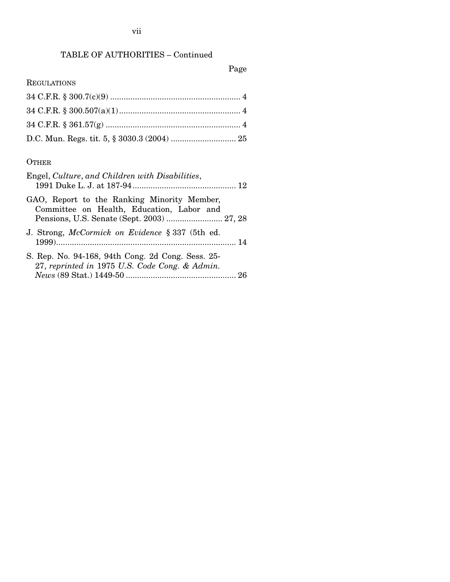# TABLE OF AUTHORITIES – Continued

# Page

## REGULATIONS

### **OTHER**

| Engel, Culture, and Children with Disabilities,                                                     |
|-----------------------------------------------------------------------------------------------------|
| GAO, Report to the Ranking Minority Member,<br>Committee on Health, Education, Labor and            |
| J. Strong, McCormick on Evidence § 337 (5th ed.                                                     |
| S. Rep. No. 94-168, 94th Cong. 2d Cong. Sess. 25-<br>27, reprinted in 1975 U.S. Code Cong. & Admin. |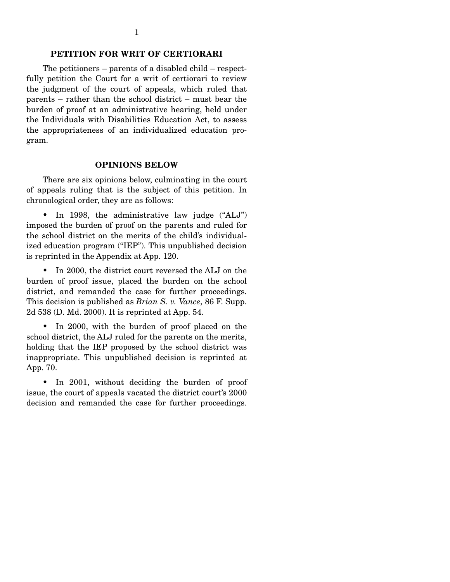#### **PETITION FOR WRIT OF CERTIORARI**

 The petitioners – parents of a disabled child – respectfully petition the Court for a writ of certiorari to review the judgment of the court of appeals, which ruled that parents – rather than the school district – must bear the burden of proof at an administrative hearing, held under the Individuals with Disabilities Education Act, to assess the appropriateness of an individualized education program.

#### **OPINIONS BELOW**

 There are six opinions below, culminating in the court of appeals ruling that is the subject of this petition. In chronological order, they are as follows:

• In 1998, the administrative law judge ("ALJ") imposed the burden of proof on the parents and ruled for the school district on the merits of the child's individualized education program ("IEP"). This unpublished decision is reprinted in the Appendix at App. 120.

 • In 2000, the district court reversed the ALJ on the burden of proof issue, placed the burden on the school district, and remanded the case for further proceedings. This decision is published as *Brian S. v. Vance*, 86 F. Supp. 2d 538 (D. Md. 2000). It is reprinted at App. 54.

 • In 2000, with the burden of proof placed on the school district, the ALJ ruled for the parents on the merits, holding that the IEP proposed by the school district was inappropriate. This unpublished decision is reprinted at App. 70.

 • In 2001, without deciding the burden of proof issue, the court of appeals vacated the district court's 2000 decision and remanded the case for further proceedings.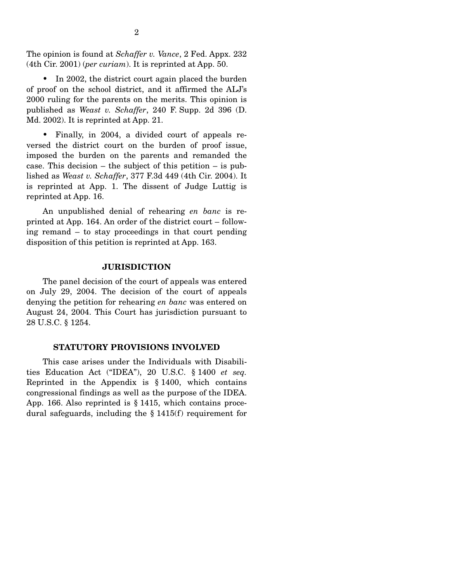The opinion is found at *Schaffer v. Vance*, 2 Fed. Appx. 232 (4th Cir. 2001) (*per curiam*). It is reprinted at App. 50.

• In 2002, the district court again placed the burden of proof on the school district, and it affirmed the ALJ's 2000 ruling for the parents on the merits. This opinion is published as *Weast v. Schaffer*, 240 F. Supp. 2d 396 (D. Md. 2002). It is reprinted at App. 21.

 • Finally, in 2004, a divided court of appeals reversed the district court on the burden of proof issue, imposed the burden on the parents and remanded the case. This decision – the subject of this petition – is published as *Weast v. Schaffer*, 377 F.3d 449 (4th Cir. 2004). It is reprinted at App. 1. The dissent of Judge Luttig is reprinted at App. 16.

 An unpublished denial of rehearing *en banc* is reprinted at App. 164. An order of the district court – following remand – to stay proceedings in that court pending disposition of this petition is reprinted at App. 163.

#### **JURISDICTION**

 The panel decision of the court of appeals was entered on July 29, 2004. The decision of the court of appeals denying the petition for rehearing *en banc* was entered on August 24, 2004. This Court has jurisdiction pursuant to 28 U.S.C. § 1254.

#### **STATUTORY PROVISIONS INVOLVED**

 This case arises under the Individuals with Disabilities Education Act ("IDEA"), 20 U.S.C. § 1400 *et seq.* Reprinted in the Appendix is  $\S 1400$ , which contains congressional findings as well as the purpose of the IDEA. App. 166. Also reprinted is § 1415, which contains procedural safeguards, including the § 1415(f) requirement for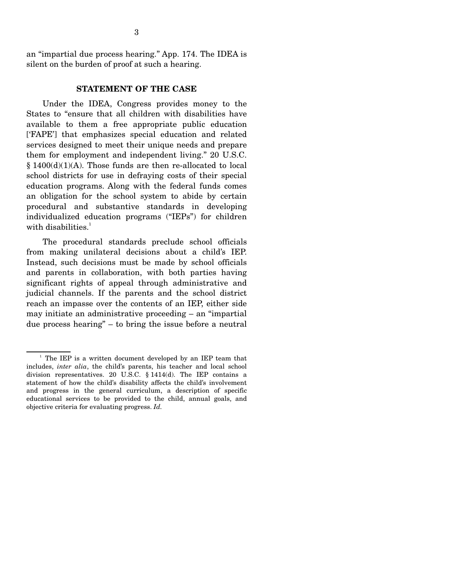an "impartial due process hearing." App. 174. The IDEA is silent on the burden of proof at such a hearing.

### **STATEMENT OF THE CASE**

 Under the IDEA, Congress provides money to the States to "ensure that all children with disabilities have available to them a free appropriate public education ['FAPE'] that emphasizes special education and related services designed to meet their unique needs and prepare them for employment and independent living." 20 U.S.C. § 1400(d)(1)(A). Those funds are then re-allocated to local school districts for use in defraying costs of their special education programs. Along with the federal funds comes an obligation for the school system to abide by certain procedural and substantive standards in developing individualized education programs ("IEPs") for children with disabilities. $1$ 

 The procedural standards preclude school officials from making unilateral decisions about a child's IEP. Instead, such decisions must be made by school officials and parents in collaboration, with both parties having significant rights of appeal through administrative and judicial channels. If the parents and the school district reach an impasse over the contents of an IEP, either side may initiate an administrative proceeding – an "impartial due process hearing" – to bring the issue before a neutral

<sup>&</sup>lt;sup>1</sup> The IEP is a written document developed by an IEP team that includes, *inter alia*, the child's parents, his teacher and local school division representatives. 20 U.S.C. § 1414(d). The IEP contains a statement of how the child's disability affects the child's involvement and progress in the general curriculum, a description of specific educational services to be provided to the child, annual goals, and objective criteria for evaluating progress. *Id.*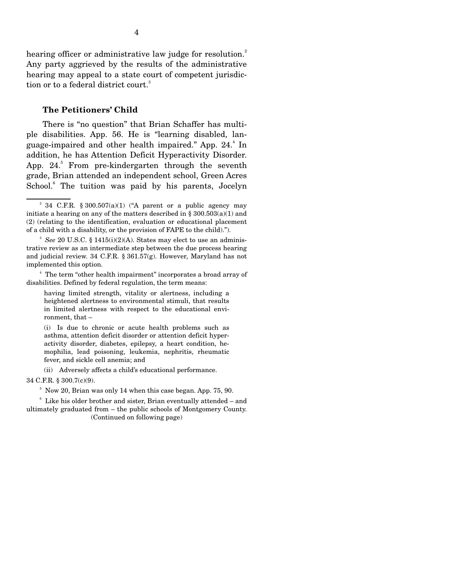hearing officer or administrative law judge for resolution.<sup>2</sup> Any party aggrieved by the results of the administrative hearing may appeal to a state court of competent jurisdiction or to a federal district court.<sup>3</sup>

#### **The Petitioners' Child**

 There is "no question" that Brian Schaffer has multiple disabilities. App. 56. He is "learning disabled, language-impaired and other health impaired." App. 24.<sup>4</sup> In addition, he has Attention Deficit Hyperactivity Disorder. App.  $24$ <sup>5</sup> From pre-kindergarten through the seventh grade, Brian attended an independent school, Green Acres School.<sup>6</sup> The tuition was paid by his parents, Jocelyn

(i) Is due to chronic or acute health problems such as asthma, attention deficit disorder or attention deficit hyperactivity disorder, diabetes, epilepsy, a heart condition, hemophilia, lead poisoning, leukemia, nephritis, rheumatic fever, and sickle cell anemia; and

(ii) Adversely affects a child's educational performance.

34 C.F.R. § 300.7(c)(9).

<sup>5</sup> Now 20, Brian was only 14 when this case began. App. 75, 90.

 <sup>6</sup> Like his older brother and sister, Brian eventually attended – and ultimately graduated from – the public schools of Montgomery County. (Continued on following page)

<sup>&</sup>lt;sup>2</sup> 34 C.F.R. § 300.507(a)(1) ("A parent or a public agency may initiate a hearing on any of the matters described in § 300.503(a)(1) and (2) (relating to the identification, evaluation or educational placement of a child with a disability, or the provision of FAPE to the child).").

<sup>&</sup>lt;sup>3</sup> See 20 U.S.C. § 1415(i)(2)(A). States may elect to use an administrative review as an intermediate step between the due process hearing and judicial review. 34 C.F.R. § 361.57(g). However, Maryland has not implemented this option.

<sup>&</sup>lt;sup>4</sup> The term "other health impairment" incorporates a broad array of disabilities. Defined by federal regulation, the term means:

having limited strength, vitality or alertness, including a heightened alertness to environmental stimuli, that results in limited alertness with respect to the educational environment, that –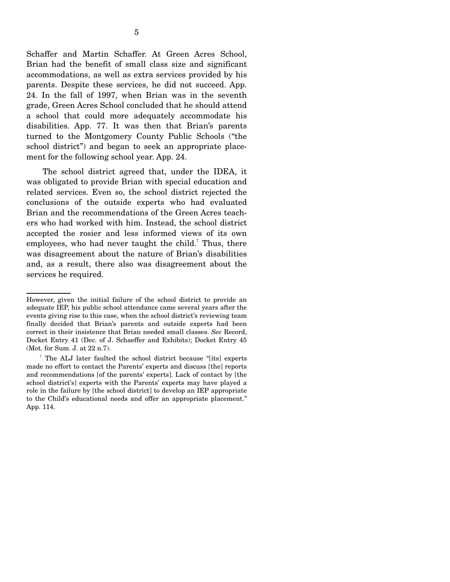Schaffer and Martin Schaffer. At Green Acres School, Brian had the benefit of small class size and significant accommodations, as well as extra services provided by his parents. Despite these services, he did not succeed. App. 24. In the fall of 1997, when Brian was in the seventh grade, Green Acres School concluded that he should attend a school that could more adequately accommodate his disabilities. App. 77. It was then that Brian's parents turned to the Montgomery County Public Schools ("the school district") and began to seek an appropriate placement for the following school year. App. 24.

 The school district agreed that, under the IDEA, it was obligated to provide Brian with special education and related services. Even so, the school district rejected the conclusions of the outside experts who had evaluated Brian and the recommendations of the Green Acres teachers who had worked with him. Instead, the school district accepted the rosier and less informed views of its own employees, who had never taught the child.<sup>7</sup> Thus, there was disagreement about the nature of Brian's disabilities and, as a result, there also was disagreement about the services he required.

However, given the initial failure of the school district to provide an adequate IEP, his public school attendance came several years after the events giving rise to this case, when the school district's reviewing team finally decided that Brian's parents and outside experts had been correct in their insistence that Brian needed small classes. *See* Record, Docket Entry 41 (Dec. of J. Schaeffer and Exhibits); Docket Entry 45 (Mot. for Sum. J. at 22 n.7).

<sup>7</sup> The ALJ later faulted the school district because "[its] experts made no effort to contact the Parents' experts and discuss [the] reports and recommendations [of the parents' experts]. Lack of contact by [the school district's] experts with the Parents' experts may have played a role in the failure by [the school district] to develop an IEP appropriate to the Child's educational needs and offer an appropriate placement." App. 114.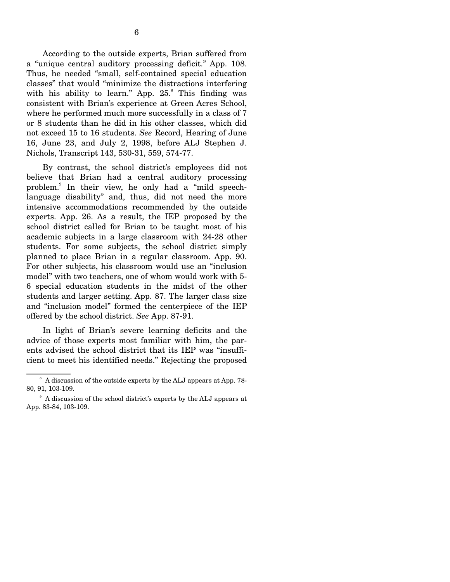According to the outside experts, Brian suffered from a "unique central auditory processing deficit." App. 108. Thus, he needed "small, self-contained special education classes" that would "minimize the distractions interfering with his ability to learn." App.  $25.8$  This finding was consistent with Brian's experience at Green Acres School, where he performed much more successfully in a class of 7 or 8 students than he did in his other classes, which did not exceed 15 to 16 students. *See* Record, Hearing of June 16, June 23, and July 2, 1998, before ALJ Stephen J. Nichols, Transcript 143, 530-31, 559, 574-77.

 By contrast, the school district's employees did not believe that Brian had a central auditory processing problem.<sup>9</sup> In their view, he only had a "mild speechlanguage disability" and, thus, did not need the more intensive accommodations recommended by the outside experts. App. 26. As a result, the IEP proposed by the school district called for Brian to be taught most of his academic subjects in a large classroom with 24-28 other students. For some subjects, the school district simply planned to place Brian in a regular classroom. App. 90. For other subjects, his classroom would use an "inclusion model" with two teachers, one of whom would work with 5- 6 special education students in the midst of the other students and larger setting. App. 87. The larger class size and "inclusion model" formed the centerpiece of the IEP offered by the school district. *See* App. 87-91.

 In light of Brian's severe learning deficits and the advice of those experts most familiar with him, the parents advised the school district that its IEP was "insufficient to meet his identified needs." Rejecting the proposed

<sup>&</sup>lt;sup>8</sup> A discussion of the outside experts by the ALJ appears at App. 78-80, 91, 103-109.

<sup>&</sup>lt;sup>9</sup> A discussion of the school district's experts by the ALJ appears at App. 83-84, 103-109.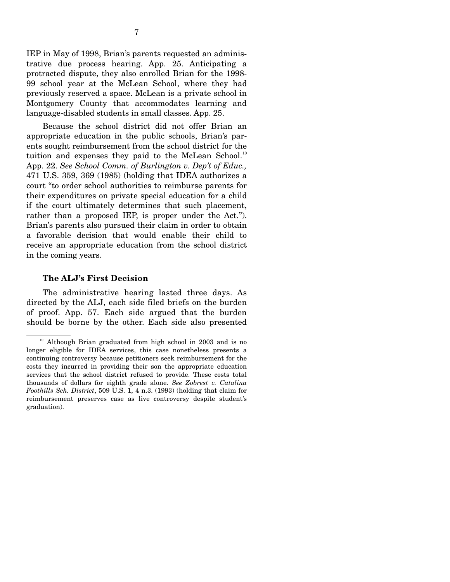trative due process hearing. App. 25. Anticipating a protracted dispute, they also enrolled Brian for the 1998- 99 school year at the McLean School, where they had previously reserved a space. McLean is a private school in Montgomery County that accommodates learning and language-disabled students in small classes. App. 25.

 Because the school district did not offer Brian an appropriate education in the public schools, Brian's parents sought reimbursement from the school district for the tuition and expenses they paid to the McLean School.<sup>10</sup> App. 22. *See School Comm. of Burlington v. Dep't of Educ.,*  471 U.S. 359, 369 (1985) (holding that IDEA authorizes a court "to order school authorities to reimburse parents for their expenditures on private special education for a child if the court ultimately determines that such placement, rather than a proposed IEP, is proper under the Act."). Brian's parents also pursued their claim in order to obtain a favorable decision that would enable their child to receive an appropriate education from the school district in the coming years.

## **The ALJ's First Decision**

 The administrative hearing lasted three days. As directed by the ALJ, each side filed briefs on the burden of proof. App. 57. Each side argued that the burden should be borne by the other. Each side also presented

<sup>&</sup>lt;sup>10</sup> Although Brian graduated from high school in 2003 and is no longer eligible for IDEA services, this case nonetheless presents a continuing controversy because petitioners seek reimbursement for the costs they incurred in providing their son the appropriate education services that the school district refused to provide. These costs total thousands of dollars for eighth grade alone. *See Zobrest v. Catalina Foothills Sch. District*, 509 U.S. 1, 4 n.3. (1993) (holding that claim for reimbursement preserves case as live controversy despite student's graduation).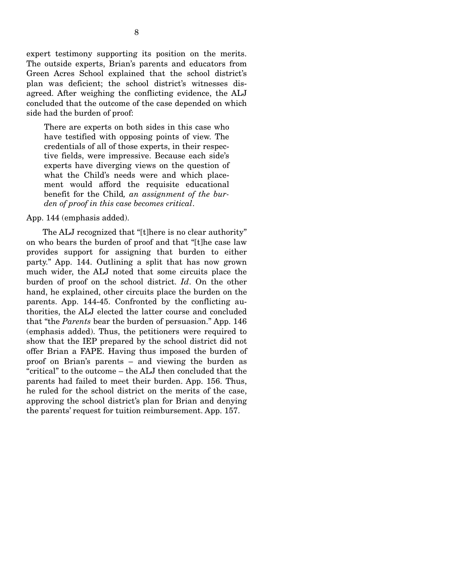expert testimony supporting its position on the merits. The outside experts, Brian's parents and educators from Green Acres School explained that the school district's plan was deficient; the school district's witnesses disagreed. After weighing the conflicting evidence, the ALJ concluded that the outcome of the case depended on which side had the burden of proof:

There are experts on both sides in this case who have testified with opposing points of view. The credentials of all of those experts, in their respective fields, were impressive. Because each side's experts have diverging views on the question of what the Child's needs were and which placement would afford the requisite educational benefit for the Child*, an assignment of the burden of proof in this case becomes critical*.

#### App. 144 (emphasis added).

 The ALJ recognized that "[t]here is no clear authority" on who bears the burden of proof and that "[t]he case law provides support for assigning that burden to either party." App. 144. Outlining a split that has now grown much wider, the ALJ noted that some circuits place the burden of proof on the school district. *Id*. On the other hand, he explained, other circuits place the burden on the parents. App. 144-45. Confronted by the conflicting authorities, the ALJ elected the latter course and concluded that "the *Parents* bear the burden of persuasion." App. 146 (emphasis added). Thus, the petitioners were required to show that the IEP prepared by the school district did not offer Brian a FAPE. Having thus imposed the burden of proof on Brian's parents – and viewing the burden as "critical" to the outcome – the ALJ then concluded that the parents had failed to meet their burden. App. 156. Thus, he ruled for the school district on the merits of the case, approving the school district's plan for Brian and denying the parents' request for tuition reimbursement. App. 157.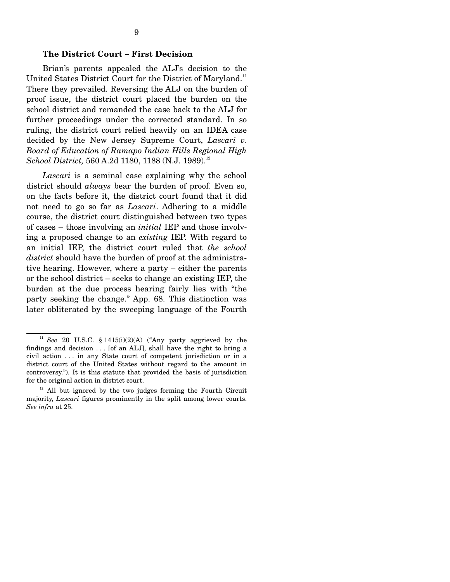#### **The District Court – First Decision**

 Brian's parents appealed the ALJ's decision to the United States District Court for the District of Maryland.<sup>11</sup> There they prevailed. Reversing the ALJ on the burden of proof issue, the district court placed the burden on the school district and remanded the case back to the ALJ for further proceedings under the corrected standard. In so ruling, the district court relied heavily on an IDEA case decided by the New Jersey Supreme Court, *Lascari v. Board of Education of Ramapo Indian Hills Regional High School District,* 560 A.2d 1180, 1188 (N.J. 1989).<sup>12</sup>

 *Lascari* is a seminal case explaining why the school district should *always* bear the burden of proof. Even so, on the facts before it, the district court found that it did not need to go so far as *Lascari*. Adhering to a middle course, the district court distinguished between two types of cases – those involving an *initial* IEP and those involving a proposed change to an *existing* IEP. With regard to an initial IEP, the district court ruled that *the school district* should have the burden of proof at the administrative hearing. However, where a party – either the parents or the school district – seeks to change an existing IEP, the burden at the due process hearing fairly lies with "the party seeking the change." App. 68. This distinction was later obliterated by the sweeping language of the Fourth

<sup>&</sup>lt;sup>11</sup> *See* 20 U.S.C. § 1415(i)(2)(A) ("Any party aggrieved by the findings and decision . . . [of an ALJ], shall have the right to bring a civil action . . . in any State court of competent jurisdiction or in a district court of the United States without regard to the amount in controversy."). It is this statute that provided the basis of jurisdiction for the original action in district court.

 $12$  All but ignored by the two judges forming the Fourth Circuit majority, *Lascari* figures prominently in the split among lower courts. *See infra* at 25.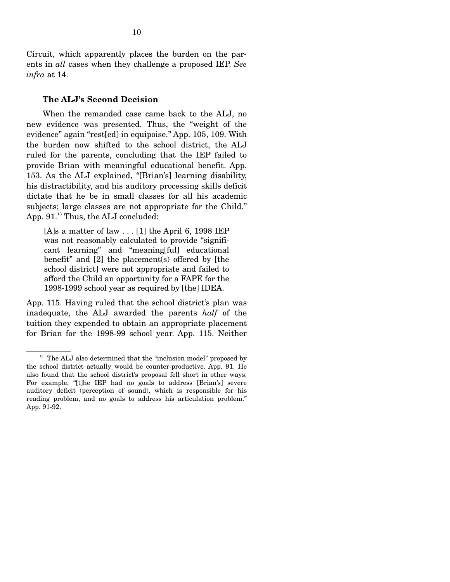Circuit, which apparently places the burden on the parents in *all* cases when they challenge a proposed IEP. *See infra* at 14.

#### **The ALJ's Second Decision**

 When the remanded case came back to the ALJ, no new evidence was presented. Thus, the "weight of the evidence" again "rest[ed] in equipoise." App. 105, 109. With the burden now shifted to the school district, the ALJ ruled for the parents, concluding that the IEP failed to provide Brian with meaningful educational benefit. App. 153. As the ALJ explained, "[Brian's] learning disability, his distractibility, and his auditory processing skills deficit dictate that he be in small classes for all his academic subjects; large classes are not appropriate for the Child." App.  $91.<sup>13</sup>$  Thus, the ALJ concluded:

[A]s a matter of law  $\dots$  [1] the April 6, 1998 IEP was not reasonably calculated to provide "significant learning" and "meaning[ful] educational benefit" and [2] the placement(s) offered by [the school district] were not appropriate and failed to afford the Child an opportunity for a FAPE for the 1998-1999 school year as required by [the] IDEA.

App. 115. Having ruled that the school district's plan was inadequate, the ALJ awarded the parents *half* of the tuition they expended to obtain an appropriate placement for Brian for the 1998-99 school year. App. 115. Neither

 $13$  The ALJ also determined that the "inclusion model" proposed by the school district actually would be counter-productive. App. 91. He also found that the school district's proposal fell short in other ways. For example, "[t]he IEP had no goals to address [Brian's] severe auditory deficit (perception of sound), which is responsible for his reading problem, and no goals to address his articulation problem." App. 91-92.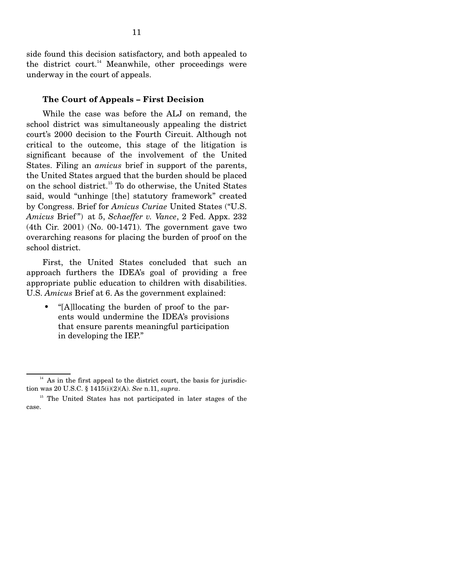side found this decision satisfactory, and both appealed to the district court.<sup>14</sup> Meanwhile, other proceedings were underway in the court of appeals.

#### **The Court of Appeals – First Decision**

 While the case was before the ALJ on remand, the school district was simultaneously appealing the district court's 2000 decision to the Fourth Circuit. Although not critical to the outcome, this stage of the litigation is significant because of the involvement of the United States. Filing an *amicus* brief in support of the parents, the United States argued that the burden should be placed on the school district.15 To do otherwise, the United States said, would "unhinge [the] statutory framework" created by Congress. Brief for *Amicus Curiae* United States ("U.S. *Amicus* Brief ") at 5, *Schaeffer v. Vance*, 2 Fed. Appx. 232 (4th Cir. 2001) (No. 00-1471). The government gave two overarching reasons for placing the burden of proof on the school district.

 First, the United States concluded that such an approach furthers the IDEA's goal of providing a free appropriate public education to children with disabilities. U.S. *Amicus* Brief at 6. As the government explained:

• "[A]llocating the burden of proof to the parents would undermine the IDEA's provisions that ensure parents meaningful participation in developing the IEP."

 $14$  As in the first appeal to the district court, the basis for jurisdiction was 20 U.S.C. § 1415(i)(2)(A). *See* n.11, *supra*.

<sup>&</sup>lt;sup>15</sup> The United States has not participated in later stages of the case.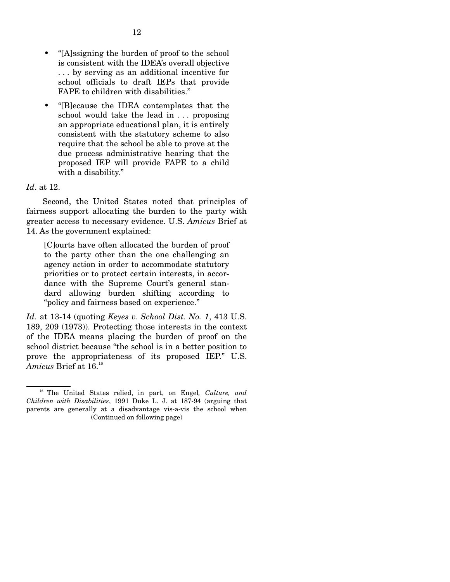- "[A]ssigning the burden of proof to the school is consistent with the IDEA's overall objective . . . by serving as an additional incentive for school officials to draft IEPs that provide FAPE to children with disabilities."
- "[B]ecause the IDEA contemplates that the school would take the lead in ... proposing an appropriate educational plan, it is entirely consistent with the statutory scheme to also require that the school be able to prove at the due process administrative hearing that the proposed IEP will provide FAPE to a child with a disability."

### *Id*. at 12.

 Second, the United States noted that principles of fairness support allocating the burden to the party with greater access to necessary evidence. U.S. *Amicus* Brief at 14. As the government explained:

[C]ourts have often allocated the burden of proof to the party other than the one challenging an agency action in order to accommodate statutory priorities or to protect certain interests, in accordance with the Supreme Court's general standard allowing burden shifting according to "policy and fairness based on experience."

*Id.* at 13-14 (quoting *Keyes v. School Dist. No. 1*, 413 U.S. 189, 209 (1973)). Protecting those interests in the context of the IDEA means placing the burden of proof on the school district because "the school is in a better position to prove the appropriateness of its proposed IEP." U.S.  $Amicus$  Brief at  $16.^{\scriptscriptstyle 16}$ 

16 The United States relied, in part, on Engel*, Culture, and Children with Disabilities*, 1991 Duke L. J. at 187-94 (arguing that parents are generally at a disadvantage vis-a-vis the school when (Continued on following page)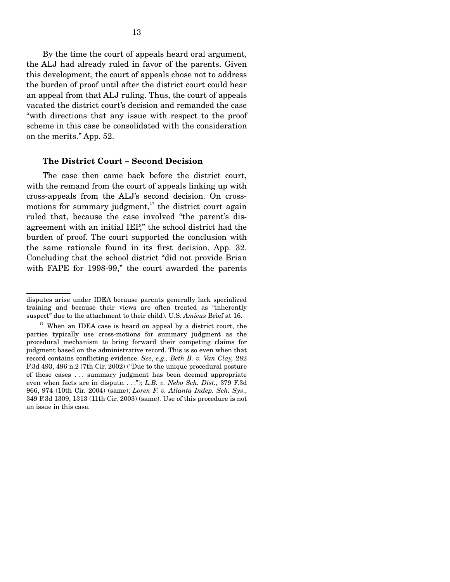By the time the court of appeals heard oral argument, the ALJ had already ruled in favor of the parents. Given this development, the court of appeals chose not to address the burden of proof until after the district court could hear an appeal from that ALJ ruling. Thus, the court of appeals vacated the district court's decision and remanded the case "with directions that any issue with respect to the proof scheme in this case be consolidated with the consideration on the merits." App. 52.

#### **The District Court – Second Decision**

 The case then came back before the district court, with the remand from the court of appeals linking up with cross-appeals from the ALJ's second decision. On crossmotions for summary judgment, $17$  the district court again ruled that, because the case involved "the parent's disagreement with an initial IEP," the school district had the burden of proof. The court supported the conclusion with the same rationale found in its first decision. App. 32. Concluding that the school district "did not provide Brian with FAPE for 1998-99," the court awarded the parents

disputes arise under IDEA because parents generally lack specialized training and because their views are often treated as "inherently suspect" due to the attachment to their child). U.S. *Amicus* Brief at 16.

 $17$  When an IDEA case is heard on appeal by a district court, the parties typically use cross-motions for summary judgment as the procedural mechanism to bring forward their competing claims for judgment based on the administrative record. This is so even when that record contains conflicting evidence. *See*, *e.g., Beth B. v. Van Clay,* 282 F.3d 493, 496 n.2 (7th Cir. 2002) ("Due to the unique procedural posture of these cases . . . summary judgment has been deemed appropriate even when facts are in dispute. . . ."); *L.B. v. Nebo Sch. Dist.,* 379 F.3d 966, 974 (10th Cir. 2004) (same); *Loren F. v. Atlanta Indep. Sch. Sys*., 349 F.3d 1309, 1313 (11th Cir. 2003) (same). Use of this procedure is not an issue in this case.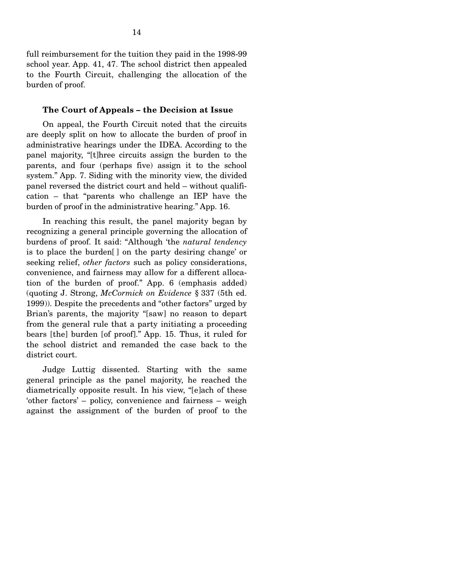full reimbursement for the tuition they paid in the 1998-99 school year. App. 41, 47. The school district then appealed to the Fourth Circuit, challenging the allocation of the burden of proof.

#### **The Court of Appeals – the Decision at Issue**

 On appeal, the Fourth Circuit noted that the circuits are deeply split on how to allocate the burden of proof in administrative hearings under the IDEA. According to the panel majority, "[t]hree circuits assign the burden to the parents, and four (perhaps five) assign it to the school system." App. 7. Siding with the minority view, the divided panel reversed the district court and held – without qualification – that "parents who challenge an IEP have the burden of proof in the administrative hearing." App. 16.

 In reaching this result, the panel majority began by recognizing a general principle governing the allocation of burdens of proof. It said: "Although 'the *natural tendency* is to place the burden[ ] on the party desiring change' or seeking relief, *other factors* such as policy considerations, convenience, and fairness may allow for a different allocation of the burden of proof." App. 6 (emphasis added) (quoting J. Strong, *McCormick on Evidence* § 337 (5th ed. 1999)). Despite the precedents and "other factors" urged by Brian's parents, the majority "[saw] no reason to depart from the general rule that a party initiating a proceeding bears [the] burden [of proof]." App. 15. Thus, it ruled for the school district and remanded the case back to the district court.

 Judge Luttig dissented. Starting with the same general principle as the panel majority, he reached the diametrically opposite result. In his view, "[e]ach of these 'other factors' – policy, convenience and fairness – weigh against the assignment of the burden of proof to the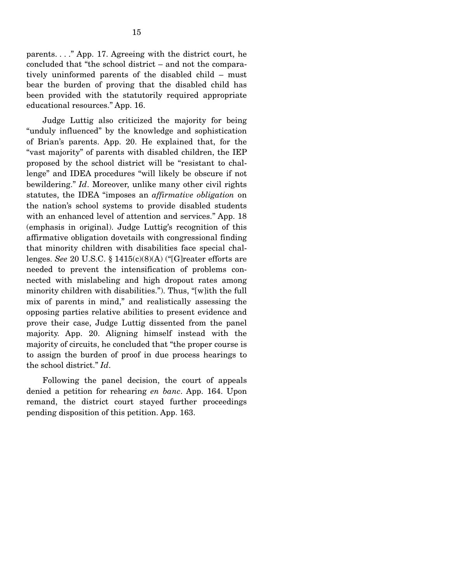parents. . . ." App. 17. Agreeing with the district court, he concluded that "the school district – and not the comparatively uninformed parents of the disabled child – must bear the burden of proving that the disabled child has been provided with the statutorily required appropriate educational resources." App. 16.

 Judge Luttig also criticized the majority for being "unduly influenced" by the knowledge and sophistication of Brian's parents. App. 20. He explained that, for the "vast majority" of parents with disabled children, the IEP proposed by the school district will be "resistant to challenge" and IDEA procedures "will likely be obscure if not bewildering." *Id*. Moreover, unlike many other civil rights statutes, the IDEA "imposes an *affirmative obligation* on the nation's school systems to provide disabled students with an enhanced level of attention and services." App. 18 (emphasis in original). Judge Luttig's recognition of this affirmative obligation dovetails with congressional finding that minority children with disabilities face special challenges. *See* 20 U.S.C. § 1415(c)(8)(A) ("[G]reater efforts are needed to prevent the intensification of problems connected with mislabeling and high dropout rates among minority children with disabilities."). Thus, "[w]ith the full mix of parents in mind," and realistically assessing the opposing parties relative abilities to present evidence and prove their case, Judge Luttig dissented from the panel majority. App. 20. Aligning himself instead with the majority of circuits, he concluded that "the proper course is to assign the burden of proof in due process hearings to the school district." *Id*.

 Following the panel decision, the court of appeals denied a petition for rehearing *en banc*. App. 164. Upon remand, the district court stayed further proceedings pending disposition of this petition. App. 163.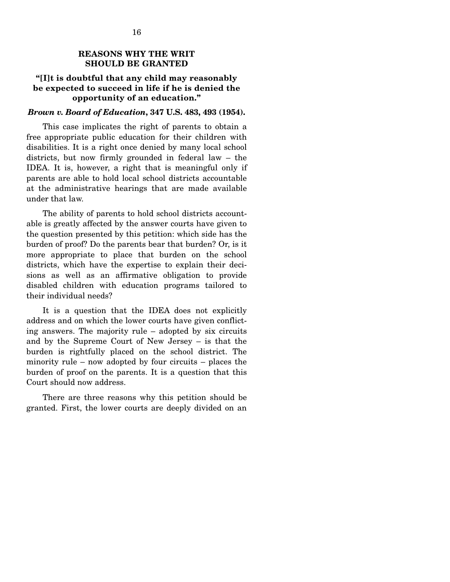### **REASONS WHY THE WRIT SHOULD BE GRANTED**

### **"[I]t is doubtful that any child may reasonably be expected to succeed in life if he is denied the opportunity of an education."**

#### *Brown v. Board of Education***, 347 U.S. 483, 493 (1954).**

 This case implicates the right of parents to obtain a free appropriate public education for their children with disabilities. It is a right once denied by many local school districts, but now firmly grounded in federal law – the IDEA. It is, however, a right that is meaningful only if parents are able to hold local school districts accountable at the administrative hearings that are made available under that law.

 The ability of parents to hold school districts accountable is greatly affected by the answer courts have given to the question presented by this petition: which side has the burden of proof? Do the parents bear that burden? Or, is it more appropriate to place that burden on the school districts, which have the expertise to explain their decisions as well as an affirmative obligation to provide disabled children with education programs tailored to their individual needs?

 It is a question that the IDEA does not explicitly address and on which the lower courts have given conflicting answers. The majority rule – adopted by six circuits and by the Supreme Court of New Jersey – is that the burden is rightfully placed on the school district. The minority rule – now adopted by four circuits – places the burden of proof on the parents. It is a question that this Court should now address.

 There are three reasons why this petition should be granted. First, the lower courts are deeply divided on an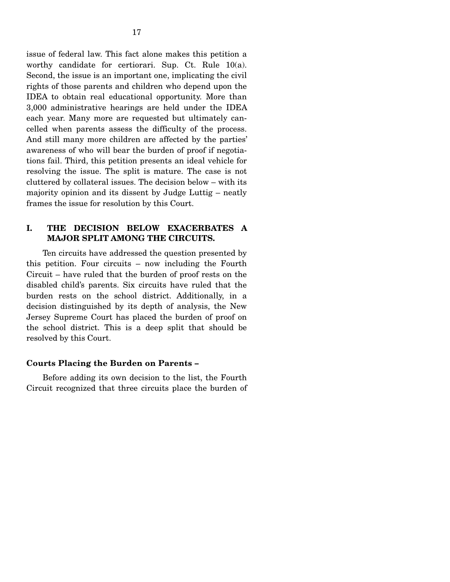issue of federal law. This fact alone makes this petition a worthy candidate for certiorari. Sup. Ct. Rule 10(a). Second, the issue is an important one, implicating the civil rights of those parents and children who depend upon the IDEA to obtain real educational opportunity. More than 3,000 administrative hearings are held under the IDEA each year. Many more are requested but ultimately cancelled when parents assess the difficulty of the process. And still many more children are affected by the parties' awareness of who will bear the burden of proof if negotiations fail. Third, this petition presents an ideal vehicle for resolving the issue. The split is mature. The case is not cluttered by collateral issues. The decision below – with its majority opinion and its dissent by Judge Luttig – neatly

### **I. THE DECISION BELOW EXACERBATES A MAJOR SPLIT AMONG THE CIRCUITS.**

frames the issue for resolution by this Court.

 Ten circuits have addressed the question presented by this petition. Four circuits – now including the Fourth Circuit – have ruled that the burden of proof rests on the disabled child's parents. Six circuits have ruled that the burden rests on the school district. Additionally, in a decision distinguished by its depth of analysis, the New Jersey Supreme Court has placed the burden of proof on the school district. This is a deep split that should be resolved by this Court.

### **Courts Placing the Burden on Parents –**

 Before adding its own decision to the list, the Fourth Circuit recognized that three circuits place the burden of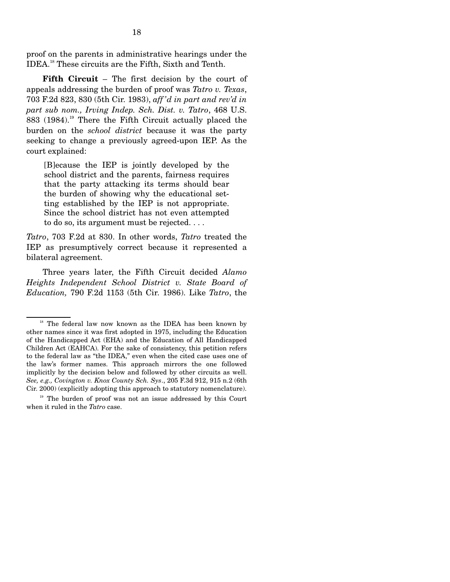proof on the parents in administrative hearings under the IDEA.18 These circuits are the Fifth, Sixth and Tenth.

 **Fifth Circuit** – The first decision by the court of appeals addressing the burden of proof was *Tatro v. Texas*, 703 F.2d 823, 830 (5th Cir. 1983), *aff 'd in part and rev'd in part sub nom., Irving Indep. Sch. Dist. v. Tatro*, 468 U.S. 883 (1984).<sup>19</sup> There the Fifth Circuit actually placed the burden on the *school district* because it was the party seeking to change a previously agreed-upon IEP. As the court explained:

[B]ecause the IEP is jointly developed by the school district and the parents, fairness requires that the party attacking its terms should bear the burden of showing why the educational setting established by the IEP is not appropriate. Since the school district has not even attempted to do so, its argument must be rejected. . . .

*Tatro*, 703 F.2d at 830. In other words, *Tatro* treated the IEP as presumptively correct because it represented a bilateral agreement.

 Three years later, the Fifth Circuit decided *Alamo Heights Independent School District v. State Board of Education,* 790 F.2d 1153 (5th Cir. 1986). Like *Tatro*, the

<sup>&</sup>lt;sup>18</sup> The federal law now known as the IDEA has been known by other names since it was first adopted in 1975, including the Education of the Handicapped Act (EHA) and the Education of All Handicapped Children Act (EAHCA). For the sake of consistency, this petition refers to the federal law as "the IDEA," even when the cited case uses one of the law's former names. This approach mirrors the one followed implicitly by the decision below and followed by other circuits as well. *See, e.g., Covington v. Knox County Sch. Sys*., 205 F.3d 912, 915 n.2 (6th Cir. 2000) (explicitly adopting this approach to statutory nomenclature).

 $19$  The burden of proof was not an issue addressed by this Court when it ruled in the *Tatro* case.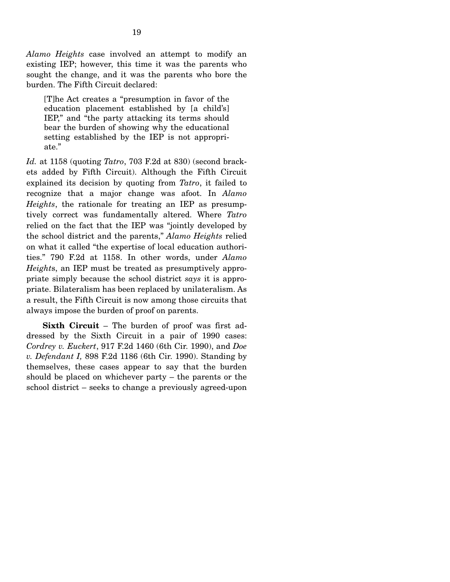*Alamo Heights* case involved an attempt to modify an existing IEP; however, this time it was the parents who sought the change, and it was the parents who bore the burden. The Fifth Circuit declared:

[T]he Act creates a "presumption in favor of the education placement established by [a child's] IEP," and "the party attacking its terms should bear the burden of showing why the educational setting established by the IEP is not appropriate."

*Id.* at 1158 (quoting *Tatro*, 703 F.2d at 830) (second brackets added by Fifth Circuit). Although the Fifth Circuit explained its decision by quoting from *Tatro*, it failed to recognize that a major change was afoot. In *Alamo Heights*, the rationale for treating an IEP as presumptively correct was fundamentally altered. Where *Tatro* relied on the fact that the IEP was "jointly developed by the school district and the parents," *Alamo Heights* relied on what it called "the expertise of local education authorities." 790 F.2d at 1158. In other words, under *Alamo Height*s, an IEP must be treated as presumptively appropriate simply because the school district *says* it is appropriate. Bilateralism has been replaced by unilateralism. As a result, the Fifth Circuit is now among those circuits that always impose the burden of proof on parents.

 **Sixth Circuit** – The burden of proof was first addressed by the Sixth Circuit in a pair of 1990 cases: *Cordrey v. Euckert*, 917 F.2d 1460 (6th Cir. 1990), and *Doe v. Defendant I,* 898 F.2d 1186 (6th Cir. 1990). Standing by themselves, these cases appear to say that the burden should be placed on whichever party – the parents or the school district – seeks to change a previously agreed-upon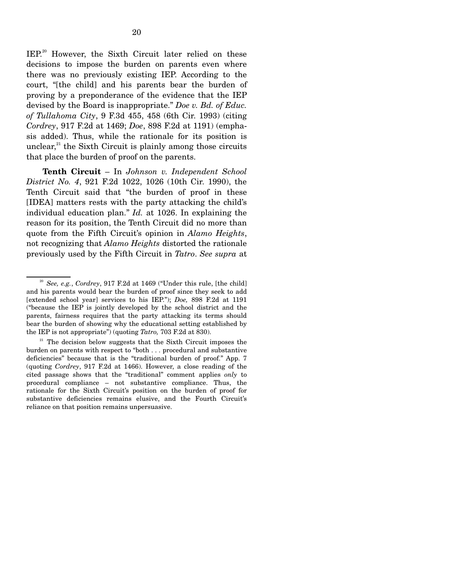IEP.<sup>20</sup> However, the Sixth Circuit later relied on these decisions to impose the burden on parents even where there was no previously existing IEP. According to the court, "[the child] and his parents bear the burden of proving by a preponderance of the evidence that the IEP devised by the Board is inappropriate." *Doe v. Bd. of Educ. of Tullahoma City*, 9 F.3d 455, 458 (6th Cir. 1993) (citing *Cordrey*, 917 F.2d at 1469; *Doe*, 898 F.2d at 1191) (emphasis added). Thus, while the rationale for its position is unclear, $^{21}$  the Sixth Circuit is plainly among those circuits that place the burden of proof on the parents.

 **Tenth Circuit** – In *Johnson v. Independent School District No. 4*, 921 F.2d 1022, 1026 (10th Cir. 1990), the Tenth Circuit said that "the burden of proof in these [IDEA] matters rests with the party attacking the child's individual education plan." *Id.* at 1026. In explaining the reason for its position, the Tenth Circuit did no more than quote from the Fifth Circuit's opinion in *Alamo Heights*, not recognizing that *Alamo Heights* distorted the rationale previously used by the Fifth Circuit in *Tatro*. *See supra* at

<sup>20</sup> *See, e.g.*, *Cordrey*, 917 F.2d at 1469 ("Under this rule, [the child] and his parents would bear the burden of proof since they seek to add [extended school year] services to his IEP."); *Doe,* 898 F.2d at 1191 ("because the IEP is jointly developed by the school district and the parents, fairness requires that the party attacking its terms should bear the burden of showing why the educational setting established by the IEP is not appropriate") (quoting *Tatro,* 703 F.2d at 830).

<sup>&</sup>lt;sup>21</sup> The decision below suggests that the Sixth Circuit imposes the burden on parents with respect to "both . . . procedural and substantive deficiencies" because that is the "traditional burden of proof." App. 7 (quoting *Cordrey*, 917 F.2d at 1466). However, a close reading of the cited passage shows that the "traditional" comment applies *only* to procedural compliance – not substantive compliance. Thus, the rationale for the Sixth Circuit's position on the burden of proof for substantive deficiencies remains elusive, and the Fourth Circuit's reliance on that position remains unpersuasive.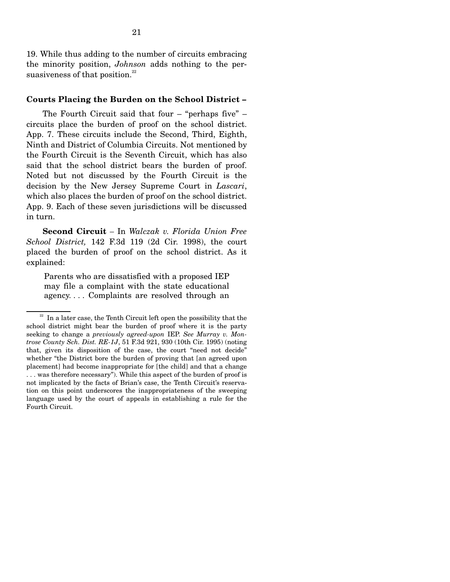19. While thus adding to the number of circuits embracing the minority position, *Johnson* adds nothing to the persuasiveness of that position. $22$ 

#### **Courts Placing the Burden on the School District –**

 The Fourth Circuit said that four – "perhaps five" – circuits place the burden of proof on the school district. App. 7. These circuits include the Second, Third, Eighth, Ninth and District of Columbia Circuits. Not mentioned by the Fourth Circuit is the Seventh Circuit, which has also said that the school district bears the burden of proof. Noted but not discussed by the Fourth Circuit is the decision by the New Jersey Supreme Court in *Lascari*, which also places the burden of proof on the school district. App. 9. Each of these seven jurisdictions will be discussed in turn.

 **Second Circuit** *–* In *Walczak v. Florida Union Free School District,* 142 F.3d 119 (2d Cir. 1998), the court placed the burden of proof on the school district. As it explained:

Parents who are dissatisfied with a proposed IEP may file a complaint with the state educational agency. . . . Complaints are resolved through an

 $22$  In a later case, the Tenth Circuit left open the possibility that the school district might bear the burden of proof where it is the party seeking to change a *previously agreed-upon* IEP. *See Murray v. Montrose County Sch. Dist. RE-1J*, 51 F.3d 921, 930 (10th Cir. 1995) (noting that, given its disposition of the case, the court "need not decide" whether "the District bore the burden of proving that [an agreed upon placement] had become inappropriate for [the child] and that a change . . . was therefore necessary"). While this aspect of the burden of proof is not implicated by the facts of Brian's case, the Tenth Circuit's reservation on this point underscores the inappropriateness of the sweeping language used by the court of appeals in establishing a rule for the Fourth Circuit.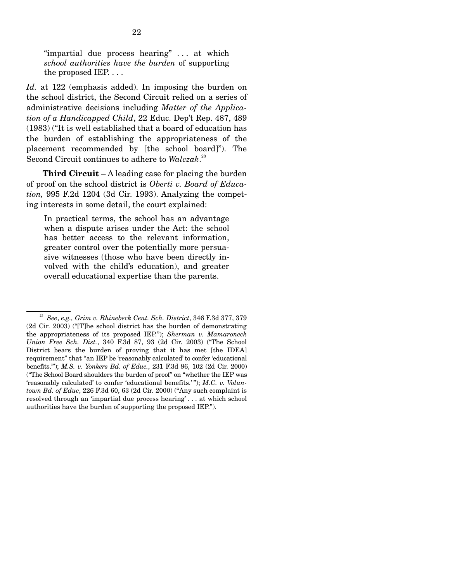"impartial due process hearing" . . . at which *school authorities have the burden* of supporting the proposed IEP. . . .

*Id.* at 122 (emphasis added). In imposing the burden on the school district, the Second Circuit relied on a series of administrative decisions including *Matter of the Application of a Handicapped Child*, 22 Educ. Dep't Rep. 487, 489 (1983) ("It is well established that a board of education has the burden of establishing the appropriateness of the placement recommended by [the school board]"). The Second Circuit continues to adhere to *Walczak*. 23

 **Third Circuit** – A leading case for placing the burden of proof on the school district is *Oberti v. Board of Education,* 995 F.2d 1204 (3d Cir. 1993). Analyzing the competing interests in some detail, the court explained:

In practical terms, the school has an advantage when a dispute arises under the Act: the school has better access to the relevant information, greater control over the potentially more persuasive witnesses (those who have been directly involved with the child's education), and greater overall educational expertise than the parents.

<sup>23</sup> *See*, *e.g., Grim v. Rhinebeck Cent. Sch. District*, 346 F.3d 377, 379 (2d Cir. 2003) ("[T]he school district has the burden of demonstrating the appropriateness of its proposed IEP."); *Sherman v. Mamaroneck Union Free Sch. Dist.*, 340 F.3d 87, 93 (2d Cir. 2003) ("The School District bears the burden of proving that it has met [the IDEA] requirement" that "an IEP be 'reasonably calculated' to confer 'educational benefits.'"); *M.S. v. Yonkers Bd. of Educ.*, 231 F.3d 96, 102 (2d Cir. 2000) ("The School Board shoulders the burden of proof" on "whether the IEP was 'reasonably calculated' to confer 'educational benefits.' "); *M.C. v. Voluntown Bd. of Educ*, 226 F.3d 60, 63 (2d Cir. 2000) ("Any such complaint is resolved through an 'impartial due process hearing' . . . at which school authorities have the burden of supporting the proposed IEP.").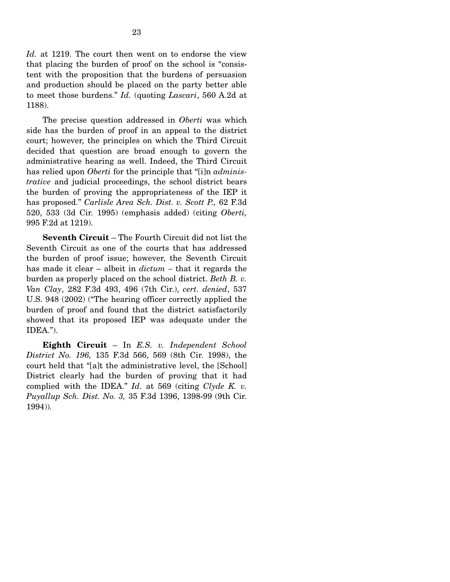*Id.* at 1219. The court then went on to endorse the view that placing the burden of proof on the school is "consistent with the proposition that the burdens of persuasion and production should be placed on the party better able to meet those burdens." *Id.* (quoting *Lascari*, 560 A.2d at 1188).

 The precise question addressed in *Oberti* was which side has the burden of proof in an appeal to the district court; however, the principles on which the Third Circuit decided that question are broad enough to govern the administrative hearing as well. Indeed, the Third Circuit has relied upon *Oberti* for the principle that "[i]n *administrative* and judicial proceedings, the school district bears the burden of proving the appropriateness of the IEP it has proposed." *Carlisle Area Sch. Dist. v. Scott P.,* 62 F.3d 520, 533 (3d Cir. 1995) (emphasis added) (citing *Oberti,*  995 F.2d at 1219).

 **Seventh Circuit** – The Fourth Circuit did not list the Seventh Circuit as one of the courts that has addressed the burden of proof issue; however, the Seventh Circuit has made it clear – albeit in *dictum –* that it regards the burden as properly placed on the school district. *Beth B. v. Van Clay*, 282 F.3d 493, 496 (7th Cir.), *cert. denied*, 537 U.S. 948 (2002) ("The hearing officer correctly applied the burden of proof and found that the district satisfactorily showed that its proposed IEP was adequate under the IDEA.").

 **Eighth Circuit** – In *E.S. v. Independent School District No. 196,* 135 F.3d 566, 569 (8th Cir. 1998), the court held that "[a]t the administrative level, the [School] District clearly had the burden of proving that it had complied with the IDEA." *Id*. at 569 (citing *Clyde K. v. Puyallup Sch. Dist. No. 3,* 35 F.3d 1396, 1398-99 (9th Cir. 1994))*.*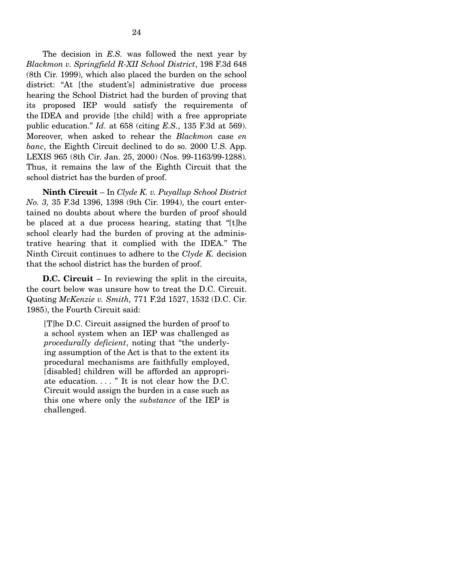The decision in *E.S.* was followed the next year by *Blackmon v. Springfield R-XII School District*, 198 F.3d 648 (8th Cir. 1999), which also placed the burden on the school district: "At [the student's] administrative due process hearing the School District had the burden of proving that its proposed IEP would satisfy the requirements of the IDEA and provide [the child] with a free appropriate public education." *Id*. at 658 (citing *E.S.*, 135 F.3d at 569). Moreover, when asked to rehear the *Blackmon* case *en banc*, the Eighth Circuit declined to do so. 2000 U.S. App. LEXIS 965 (8th Cir. Jan. 25, 2000) (Nos. 99-1163/99-1288)*.* Thus, it remains the law of the Eighth Circuit that the school district has the burden of proof.

 **Ninth Circuit** – In *Clyde K. v. Puyallup School District No. 3,* 35 F.3d 1396, 1398 (9th Cir. 1994), the court entertained no doubts about where the burden of proof should be placed at a due process hearing, stating that "[t]he school clearly had the burden of proving at the administrative hearing that it complied with the IDEA." The Ninth Circuit continues to adhere to the *Clyde K.* decision that the school district has the burden of proof.

 **D.C. Circuit** – In reviewing the split in the circuits, the court below was unsure how to treat the D.C. Circuit. Quoting *McKenzie v. Smith,* 771 F.2d 1527, 1532 (D.C. Cir. 1985), the Fourth Circuit said:

[T]he D.C. Circuit assigned the burden of proof to a school system when an IEP was challenged as *procedurally deficient*, noting that "the underlying assumption of the Act is that to the extent its procedural mechanisms are faithfully employed, [disabled] children will be afforded an appropriate education. . . . " It is not clear how the D.C. Circuit would assign the burden in a case such as this one where only the *substance* of the IEP is challenged.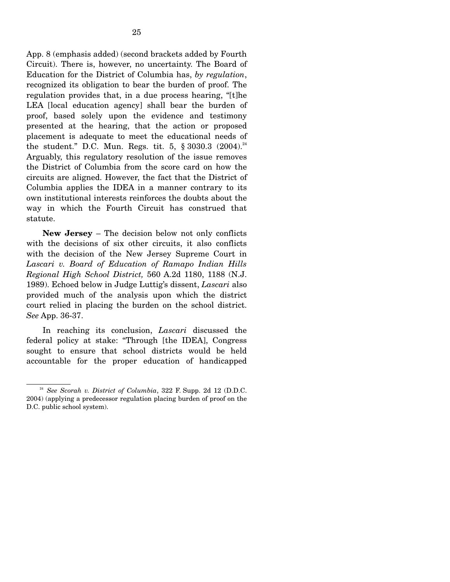App. 8 (emphasis added) (second brackets added by Fourth Circuit). There is, however, no uncertainty. The Board of Education for the District of Columbia has, *by regulation*, recognized its obligation to bear the burden of proof. The regulation provides that, in a due process hearing, "[t]he LEA [local education agency] shall bear the burden of proof, based solely upon the evidence and testimony presented at the hearing, that the action or proposed placement is adequate to meet the educational needs of the student." D.C. Mun. Regs. tit. 5,  $\S 3030.3$  (2004).<sup>24</sup> Arguably, this regulatory resolution of the issue removes the District of Columbia from the score card on how the circuits are aligned. However, the fact that the District of Columbia applies the IDEA in a manner contrary to its

own institutional interests reinforces the doubts about the way in which the Fourth Circuit has construed that statute. **New Jersey** – The decision below not only conflicts

with the decisions of six other circuits, it also conflicts with the decision of the New Jersey Supreme Court in *Lascari v. Board of Education of Ramapo Indian Hills Regional High School District,* 560 A.2d 1180, 1188 (N.J. 1989). Echoed below in Judge Luttig's dissent, *Lascari* also provided much of the analysis upon which the district court relied in placing the burden on the school district. *See* App. 36-37.

 In reaching its conclusion, *Lascari* discussed the federal policy at stake: "Through [the IDEA], Congress sought to ensure that school districts would be held accountable for the proper education of handicapped

<sup>&</sup>lt;sup>24</sup> See Scorah v. District of Columbia, 322 F. Supp. 2d 12 (D.D.C. 2004) (applying a predecessor regulation placing burden of proof on the D.C. public school system).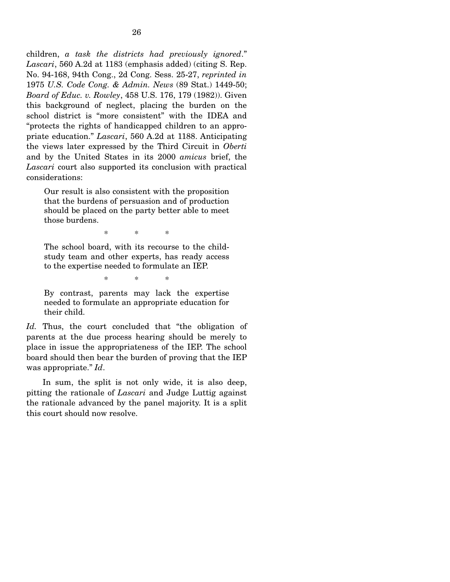children, *a task the districts had previously ignored*." *Lascari*, 560 A.2d at 1183 (emphasis added) (citing S. Rep. No. 94-168, 94th Cong., 2d Cong. Sess. 25-27, *reprinted in*  1975 *U.S. Code Cong. & Admin. News* (89 Stat.) 1449-50; *Board of Educ. v. Rowley*, 458 U.S. 176, 179 (1982)). Given this background of neglect, placing the burden on the school district is "more consistent" with the IDEA and "protects the rights of handicapped children to an appropriate education." *Lascari*, 560 A.2d at 1188. Anticipating the views later expressed by the Third Circuit in *Oberti* and by the United States in its 2000 *amicus* brief, the *Lascari* court also supported its conclusion with practical considerations:

Our result is also consistent with the proposition that the burdens of persuasion and of production should be placed on the party better able to meet those burdens.

\* \* \*

The school board, with its recourse to the childstudy team and other experts, has ready access to the expertise needed to formulate an IEP.

\* \* \*

By contrast, parents may lack the expertise needed to formulate an appropriate education for their child.

*Id.* Thus, the court concluded that "the obligation of parents at the due process hearing should be merely to place in issue the appropriateness of the IEP. The school board should then bear the burden of proving that the IEP was appropriate." *Id*.

 In sum, the split is not only wide, it is also deep, pitting the rationale of *Lascari* and Judge Luttig against the rationale advanced by the panel majority. It is a split this court should now resolve.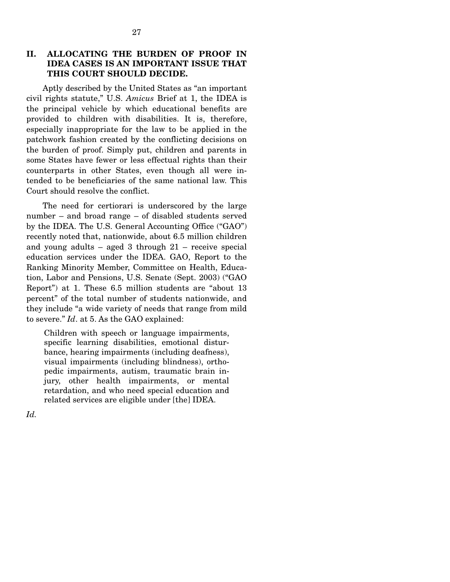### **II. ALLOCATING THE BURDEN OF PROOF IN IDEA CASES IS AN IMPORTANT ISSUE THAT THIS COURT SHOULD DECIDE.**

 Aptly described by the United States as "an important civil rights statute," U.S. *Amicus* Brief at 1, the IDEA is the principal vehicle by which educational benefits are provided to children with disabilities. It is, therefore, especially inappropriate for the law to be applied in the patchwork fashion created by the conflicting decisions on the burden of proof. Simply put, children and parents in some States have fewer or less effectual rights than their counterparts in other States, even though all were intended to be beneficiaries of the same national law. This Court should resolve the conflict.

 The need for certiorari is underscored by the large number – and broad range – of disabled students served by the IDEA. The U.S. General Accounting Office ("GAO") recently noted that, nationwide, about 6.5 million children and young adults – aged 3 through 21 – receive special education services under the IDEA. GAO, Report to the Ranking Minority Member, Committee on Health, Education, Labor and Pensions, U.S. Senate (Sept. 2003) ("GAO Report") at 1. These 6.5 million students are "about 13 percent" of the total number of students nationwide, and they include "a wide variety of needs that range from mild to severe." *Id*. at 5. As the GAO explained:

Children with speech or language impairments, specific learning disabilities, emotional disturbance, hearing impairments (including deafness), visual impairments (including blindness), orthopedic impairments, autism, traumatic brain injury, other health impairments, or mental retardation, and who need special education and related services are eligible under [the] IDEA.

*Id.*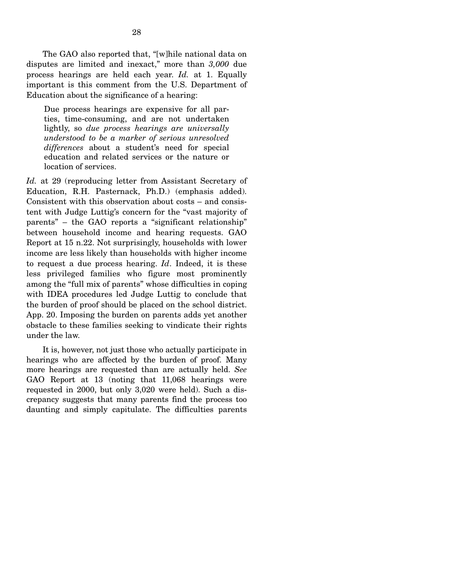The GAO also reported that, "[w]hile national data on disputes are limited and inexact," more than *3,000* due process hearings are held each year. *Id.* at 1. Equally important is this comment from the U.S. Department of Education about the significance of a hearing:

Due process hearings are expensive for all parties, time-consuming, and are not undertaken lightly, so *due process hearings are universally understood to be a marker of serious unresolved differences* about a student's need for special education and related services or the nature or location of services.

*Id.* at 29 (reproducing letter from Assistant Secretary of Education, R.H. Pasternack, Ph.D.) (emphasis added). Consistent with this observation about costs – and consistent with Judge Luttig's concern for the "vast majority of parents" – the GAO reports a "significant relationship" between household income and hearing requests. GAO Report at 15 n.22. Not surprisingly, households with lower income are less likely than households with higher income to request a due process hearing. *Id*. Indeed, it is these less privileged families who figure most prominently among the "full mix of parents" whose difficulties in coping with IDEA procedures led Judge Luttig to conclude that the burden of proof should be placed on the school district. App. 20. Imposing the burden on parents adds yet another obstacle to these families seeking to vindicate their rights under the law.

 It is, however, not just those who actually participate in hearings who are affected by the burden of proof. Many more hearings are requested than are actually held. *See*  GAO Report at 13 (noting that 11,068 hearings were requested in 2000, but only 3,020 were held). Such a discrepancy suggests that many parents find the process too daunting and simply capitulate. The difficulties parents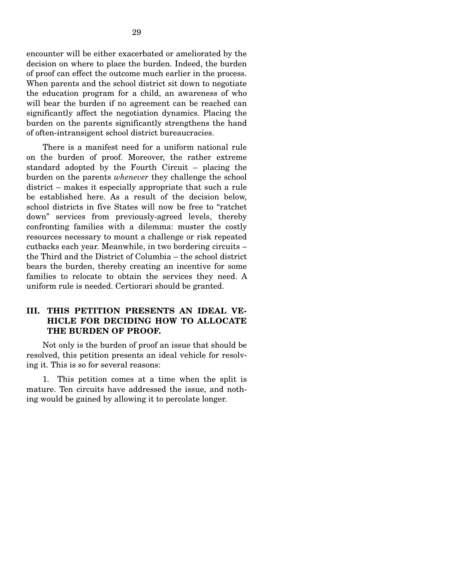encounter will be either exacerbated or ameliorated by the decision on where to place the burden. Indeed, the burden of proof can effect the outcome much earlier in the process. When parents and the school district sit down to negotiate the education program for a child, an awareness of who will bear the burden if no agreement can be reached can significantly affect the negotiation dynamics. Placing the burden on the parents significantly strengthens the hand of often-intransigent school district bureaucracies.

 There is a manifest need for a uniform national rule on the burden of proof. Moreover, the rather extreme standard adopted by the Fourth Circuit – placing the burden on the parents *whenever* they challenge the school district – makes it especially appropriate that such a rule be established here. As a result of the decision below, school districts in five States will now be free to "ratchet down" services from previously-agreed levels, thereby confronting families with a dilemma: muster the costly resources necessary to mount a challenge or risk repeated cutbacks each year. Meanwhile, in two bordering circuits – the Third and the District of Columbia – the school district bears the burden, thereby creating an incentive for some families to relocate to obtain the services they need. A uniform rule is needed. Certiorari should be granted.

### **III. THIS PETITION PRESENTS AN IDEAL VE-HICLE FOR DECIDING HOW TO ALLOCATE THE BURDEN OF PROOF.**

 Not only is the burden of proof an issue that should be resolved, this petition presents an ideal vehicle for resolving it. This is so for several reasons:

 1. This petition comes at a time when the split is mature. Ten circuits have addressed the issue, and nothing would be gained by allowing it to percolate longer.